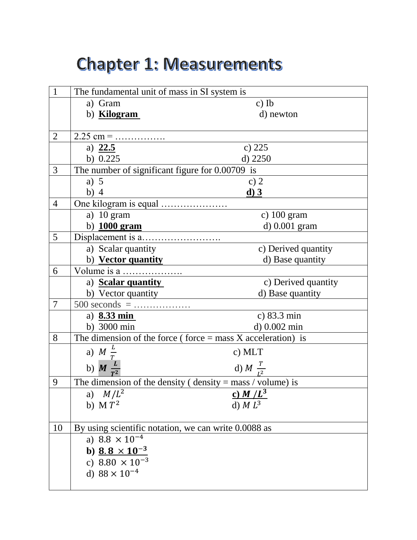# **Chapter 1: Measurements**

| $\mathbf{1}$   | The fundamental unit of mass in SI system is                  |                            |  |
|----------------|---------------------------------------------------------------|----------------------------|--|
|                | a) Gram                                                       | $c)$ Ib                    |  |
|                | b) <b>Kilogram</b>                                            | d) newton                  |  |
|                |                                                               |                            |  |
| $\overline{2}$ |                                                               |                            |  |
|                | a) $22.5$                                                     | c) 225                     |  |
|                | b) $0.225$                                                    | $d)$ 2250                  |  |
| 3              | The number of significant figure for $0.00709$ is             |                            |  |
|                | a) $5$                                                        | c) $2$                     |  |
|                | $b)$ 4                                                        | $\underline{\mathbf{d}}$ 3 |  |
| $\overline{4}$ |                                                               |                            |  |
|                | a) $10 \text{ gram}$                                          | c) $100$ gram              |  |
|                | b) $1000$ gram                                                | d) 0.001 gram              |  |
| 5              |                                                               |                            |  |
|                | a) Scalar quantity                                            | c) Derived quantity        |  |
|                | b) Vector quantity                                            | d) Base quantity           |  |
| 6              |                                                               |                            |  |
|                | a) <b>Scalar quantity</b>                                     | c) Derived quantity        |  |
|                | b) Vector quantity                                            | d) Base quantity           |  |
| 7              | $500$ seconds =                                               |                            |  |
|                | a) $8.33 \text{ min}$                                         | c) 83.3 min                |  |
|                | b) 3000 min                                                   | d) 0.002 min               |  |
| 8              | The dimension of the force (force $=$ mass X acceleration) is |                            |  |
|                | a) $M \frac{L}{T}$                                            | c) MLT                     |  |
|                | b) $M \frac{L}{T^2}$                                          | d) $M \frac{T}{I^2}$       |  |
| 9              | The dimension of the density ( $density = mass / volume$ ) is |                            |  |
|                | a) $M/L^2$                                                    | c) $M/L^3$                 |  |
|                | b) $M T^2$                                                    | d) $M L3$                  |  |
|                |                                                               |                            |  |
| 10             | By using scientific notation, we can write 0.0088 as          |                            |  |
|                | a) $8.8 \times 10^{-4}$                                       |                            |  |
|                | b) <u>8.8 <math>\times</math> 10<sup>-3</sup></u>             |                            |  |
|                | c) $8.80 \times 10^{-3}$                                      |                            |  |
|                | d) $88 \times 10^{-4}$                                        |                            |  |
|                |                                                               |                            |  |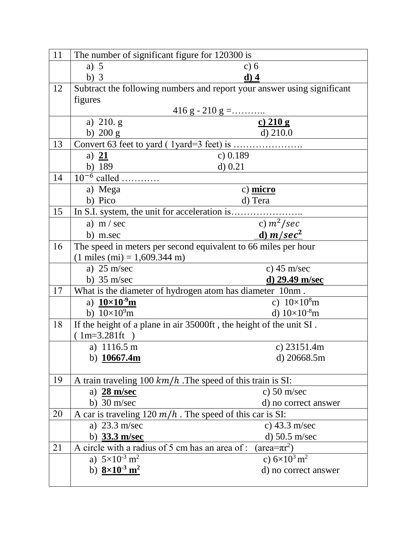| 11 | The number of significant figure for 120300 is                         |                                                                         |  |  |
|----|------------------------------------------------------------------------|-------------------------------------------------------------------------|--|--|
|    | a) $5$                                                                 | c) $6$                                                                  |  |  |
|    | $b)$ 3                                                                 | $d)$ 4                                                                  |  |  |
| 12 |                                                                        | Subtract the following numbers and report your answer using significant |  |  |
|    | figures                                                                |                                                                         |  |  |
|    | $\frac{416 \text{ g} - 210 \text{ g} = \dots}{c) \cdot 210 \text{ g}}$ |                                                                         |  |  |
|    | a) $210. g$                                                            |                                                                         |  |  |
|    | b) $200 g$                                                             | $d)$ 210.0                                                              |  |  |
| 13 |                                                                        |                                                                         |  |  |
|    | a) $21$                                                                | c) $0.189$                                                              |  |  |
|    | b) 189                                                                 | $d)$ 0.21                                                               |  |  |
| 14 | $10^{-6}$ called                                                       |                                                                         |  |  |
|    | a) Mega                                                                | c) micro                                                                |  |  |
|    | b) Pico                                                                | d) Tera                                                                 |  |  |
| 15 |                                                                        |                                                                         |  |  |
|    | a) $m / sec$                                                           | c) $m^2/sec$                                                            |  |  |
|    | b) m.sec                                                               | d) $m/sec2$                                                             |  |  |
| 16 | The speed in meters per second equivalent to 66 miles per hour         |                                                                         |  |  |
|    | $(1 \text{ miles (mi)} = 1,609.344 \text{ m})$                         |                                                                         |  |  |
|    | a) $25 \text{ m/sec}$                                                  | c) $45 \text{ m/sec}$                                                   |  |  |
|    | b) $35 \text{ m/sec}$                                                  | $d)$ 29.49 m/sec                                                        |  |  |
| 17 | What is the diameter of hydrogen atom has diameter 10nm.               |                                                                         |  |  |
|    | a) $10 \times 10^{9}$ m                                                | c) $10 \times 10^8$ m                                                   |  |  |
|    | b) $10\times10^{9}$ m                                                  | d) $10\times10^{-8}$ m                                                  |  |  |
| 18 | If the height of a plane in air 35000ft, the height of the unit SI.    |                                                                         |  |  |
|    | $(1m=3.281ft)$                                                         |                                                                         |  |  |
|    | a) $1116.5 \text{ m}$                                                  | c) $23151.4m$                                                           |  |  |
|    | b) $10667.4m$                                                          | d) 20668.5m                                                             |  |  |
|    |                                                                        |                                                                         |  |  |
| 19 | A train traveling $100 \, km/h$ . The speed of this train is SI:       |                                                                         |  |  |
|    | a) $28 \text{ m/sec}$                                                  | c) $50 \text{ m/sec}$                                                   |  |  |
|    | b) $30 \text{ m/sec}$                                                  | d) no correct answer                                                    |  |  |
| 20 | A car is traveling 120 $m/h$ . The speed of this car is SI:            |                                                                         |  |  |
|    | a) $23.3$ m/sec                                                        | c) $43.3$ m/sec                                                         |  |  |
|    | b) 33.3 m/sec                                                          | d) $50.5$ m/sec                                                         |  |  |
| 21 | A circle with a radius of 5 cm has an area of:                         | $(\text{area}=\pi r^2)$                                                 |  |  |
|    | a) $5 \times 10^{-3}$ m <sup>2</sup>                                   | c) $6\times10^3$ m <sup>2</sup>                                         |  |  |
|    | b) $8 \times 10^{-3}$ m <sup>2</sup>                                   | d) no correct answer                                                    |  |  |
|    |                                                                        |                                                                         |  |  |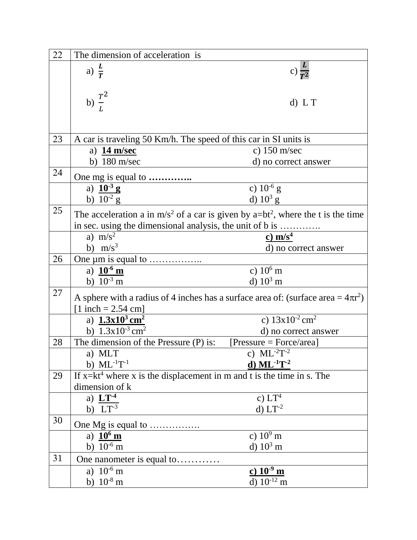| 22 | The dimension of acceleration is                                                                        |                                                                                        |  |
|----|---------------------------------------------------------------------------------------------------------|----------------------------------------------------------------------------------------|--|
|    | a) $\frac{L}{T}$                                                                                        | c) $\frac{L}{T^2}$                                                                     |  |
|    |                                                                                                         |                                                                                        |  |
|    |                                                                                                         |                                                                                        |  |
|    | b) $\frac{T^2}{L}$                                                                                      | $d)$ L T                                                                               |  |
|    |                                                                                                         |                                                                                        |  |
|    |                                                                                                         |                                                                                        |  |
| 23 | A car is traveling 50 Km/h. The speed of this car in SI units is                                        |                                                                                        |  |
|    | a) $14 \text{ m/sec}$                                                                                   | c) $150 \text{ m/sec}$                                                                 |  |
|    | b) $180 \text{ m/sec}$                                                                                  | d) no correct answer                                                                   |  |
| 24 |                                                                                                         |                                                                                        |  |
|    | One mg is equal to<br>a) $10^{-3}$ g                                                                    | c) $10^{-6}$ g                                                                         |  |
|    | b) $10^{-2}$ g                                                                                          | d) $10^3$ g                                                                            |  |
| 25 |                                                                                                         |                                                                                        |  |
|    | The acceleration a in m/s <sup>2</sup> of a car is given by a=bt <sup>2</sup> , where the t is the time |                                                                                        |  |
|    | in sec. using the dimensional analysis, the unit of b is                                                |                                                                                        |  |
|    | a) $m/s^2$                                                                                              | c) $m/s4$                                                                              |  |
|    | b) $m/s^3$                                                                                              | d) no correct answer                                                                   |  |
| 26 |                                                                                                         |                                                                                        |  |
|    | a) $10^{-6}$ m                                                                                          | c) $10^6$ m                                                                            |  |
|    | b) $10^{-3}$ m                                                                                          | d) $10^3$ m                                                                            |  |
| 27 |                                                                                                         | A sphere with a radius of 4 inches has a surface area of: (surface area = $4\pi r^2$ ) |  |
|    | $[1$ inch = 2.54 cm]                                                                                    |                                                                                        |  |
|    | a) $1.3x10^3$ cm <sup>2</sup>                                                                           | c) $13x10^{-2}$ cm <sup>2</sup>                                                        |  |
|    | b) $1.3x10^{-3}$ cm <sup>2</sup>                                                                        | d) no correct answer                                                                   |  |
| 28 | The dimension of the Pressure (P) is:                                                                   | $[Pressure = Force/area]$                                                              |  |
|    | a) MLT                                                                                                  | c) $ML^{-2}T^{-2}$                                                                     |  |
|    | b) $ML^{-1}T^{-1}$                                                                                      | d) $ML^{-1}T^{-2}$                                                                     |  |
| 29 | If $x=kt^4$ where x is the displacement in m and t is the time in s. The                                |                                                                                        |  |
|    | dimension of k                                                                                          |                                                                                        |  |
|    | a) $LT-4$                                                                                               | c) $LT4$                                                                               |  |
|    | $\overline{b}$ ) $LT^{-3}$                                                                              | $d)$ $LT^{-2}$                                                                         |  |
| 30 | One Mg is equal to                                                                                      |                                                                                        |  |
|    | a) $10^6$ m                                                                                             | c) $10^9$ m                                                                            |  |
|    | b) $10^{-6}$ m                                                                                          | d) $10^3$ m                                                                            |  |
| 31 | One nanometer is equal to                                                                               |                                                                                        |  |
|    | a) $10^{-6}$ m                                                                                          | $c) 10^{-9}$ m                                                                         |  |
|    | b) $10^{-8}$ m                                                                                          | d) $10^{-12}$ m                                                                        |  |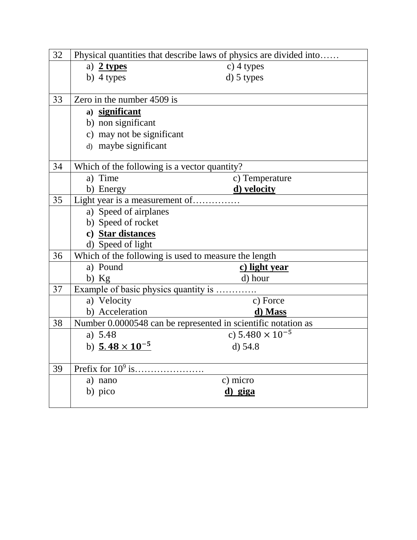| 32 | Physical quantities that describe laws of physics are divided into |                                                      |  |  |
|----|--------------------------------------------------------------------|------------------------------------------------------|--|--|
|    | a) $2$ types                                                       | $c)$ 4 types                                         |  |  |
|    | b) $4$ types                                                       | $d)$ 5 types                                         |  |  |
|    |                                                                    |                                                      |  |  |
| 33 | Zero in the number 4509 is                                         |                                                      |  |  |
|    | a) significant                                                     |                                                      |  |  |
|    | b) non significant                                                 |                                                      |  |  |
|    | c) may not be significant                                          |                                                      |  |  |
|    | d) maybe significant                                               |                                                      |  |  |
|    |                                                                    |                                                      |  |  |
| 34 | Which of the following is a vector quantity?                       |                                                      |  |  |
|    | a) Time                                                            | c) Temperature                                       |  |  |
|    | b) Energy                                                          | d) velocity                                          |  |  |
| 35 | Light year is a measurement of                                     |                                                      |  |  |
|    | a) Speed of airplanes                                              |                                                      |  |  |
|    | b) Speed of rocket                                                 |                                                      |  |  |
|    | c) Star distances                                                  |                                                      |  |  |
|    | d) Speed of light                                                  |                                                      |  |  |
| 36 |                                                                    | Which of the following is used to measure the length |  |  |
|    | a) Pound                                                           | c) light year                                        |  |  |
|    | $b)$ Kg                                                            | d) hour                                              |  |  |
| 37 |                                                                    | Example of basic physics quantity is                 |  |  |
|    | a) Velocity                                                        | c) Force                                             |  |  |
|    | b) Acceleration                                                    | d) Mass                                              |  |  |
| 38 | Number 0.0000548 can be represented in scientific notation as      |                                                      |  |  |
|    | a) 5.48                                                            | c) $5.480 \times 10^{-5}$                            |  |  |
|    | b) $5.48 \times 10^{-5}$                                           | d) 54.8                                              |  |  |
|    |                                                                    |                                                      |  |  |
| 39 |                                                                    |                                                      |  |  |
|    | a) nano                                                            | c) micro                                             |  |  |
|    | b) pico                                                            | d) giga                                              |  |  |
|    |                                                                    |                                                      |  |  |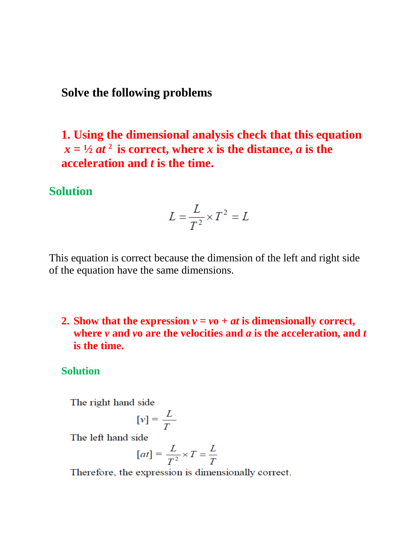#### **Solve the following problems**

**1. Using the dimensional analysis check that this equation**  $x = \frac{1}{2}at^2$  is correct, where *x* is the distance, *a* is the **acceleration and** *t* **is the time.**

# **Solution**

$$
L = \frac{L}{T^2} \times T^2 = L
$$

This equation is correct because the dimension of the left and right side of the equation have the same dimensions.

## **2. Show that the expression**  $v = v_0 + at$  **is dimensionally correct, where** *v* **and** *v***o are the velocities and** *a* **is the acceleration, and** *t*  **is the time.**

#### **Solution**

The right hand side

$$
[v] = \frac{L}{T}
$$

The left hand side

$$
[at] = \frac{L}{T^2} \times T = \frac{L}{T}
$$

Therefore, the expression is dimensionally correct.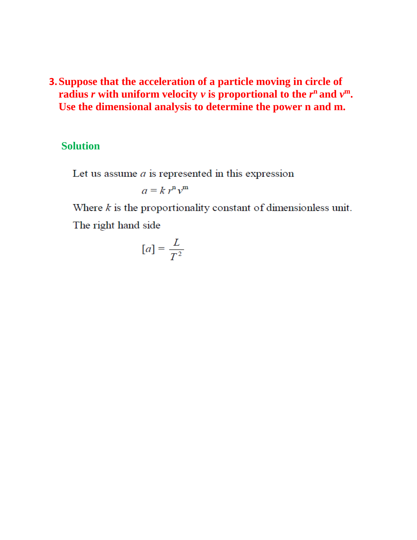## **3.Suppose that the acceleration of a particle moving in circle of radius** *r* **with uniform velocity**  $\nu$  **is proportional to the**  $r^n$  **and**  $\nu^m$ **. Use the dimensional analysis to determine the power n and m.**

#### **Solution**

Let us assume  $a$  is represented in this expression

$$
a = k r^n v^m
$$

Where  $k$  is the proportionality constant of dimensionless unit. The right hand side

$$
[a] = \frac{L}{T^2}
$$